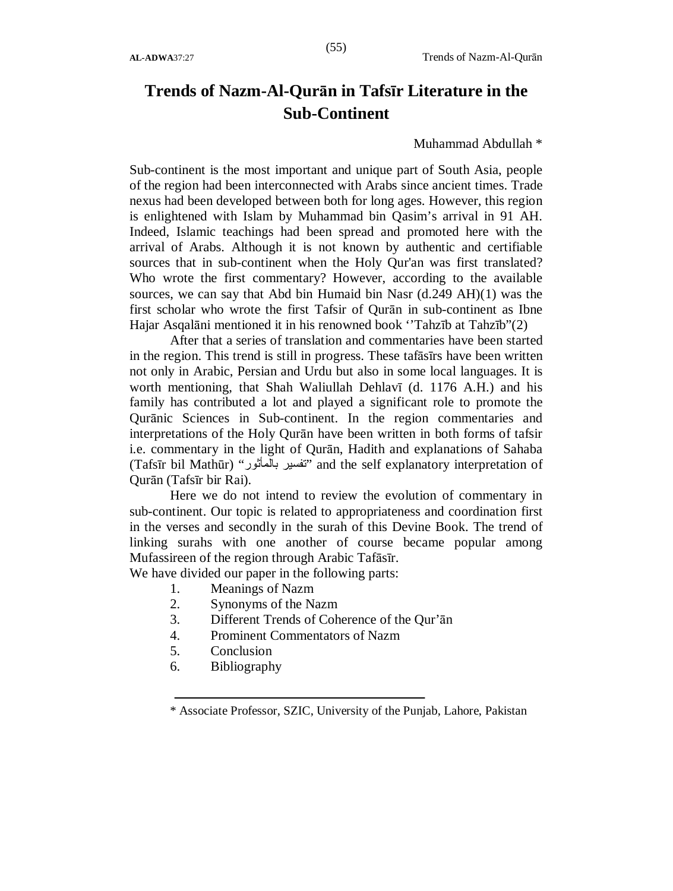# **Trends of Nazm-Al-Qurān in Tafsīr Literature in the Sub-Continent**

#### Muhammad Abdullah \*

Sub-continent is the most important and unique part of South Asia, people of the region had been interconnected with Arabs since ancient times. Trade nexus had been developed between both for long ages. However, this region is enlightened with Islam by Muhammad bin Qasim's arrival in 91 AH. Indeed, Islamic teachings had been spread and promoted here with the arrival of Arabs. Although it is not known by authentic and certifiable sources that in sub-continent when the Holy Qur'an was first translated? Who wrote the first commentary? However, according to the available sources, we can say that Abd bin Humaid bin Nasr (d.249 AH)(1) was the first scholar who wrote the first Tafsir of Qurān in sub-continent as Ibne Hajar Asqalāni mentioned it in his renowned book ''Tahzīb at Tahzīb"(2)

After that a series of translation and commentaries have been started in the region. This trend is still in progress. These tafāsīrs have been written not only in Arabic, Persian and Urdu but also in some local languages. It is worth mentioning, that Shah Waliullah Dehlavī (d. 1176 A.H.) and his family has contributed a lot and played a significant role to promote the Qurānic Sciences in Sub-continent. In the region commentaries and interpretations of the Holy Qurān have been written in both forms of tafsir i.e. commentary in the light of Qurān, Hadith and explanations of Sahaba (Tafsīr bil Mathūr) "بالمأثور تفسیر "and the self explanatory interpretation of Qurān (Tafsīr bir Rai).

Here we do not intend to review the evolution of commentary in sub-continent. Our topic is related to appropriateness and coordination first in the verses and secondly in the surah of this Devine Book. The trend of linking surahs with one another of course became popular among Mufassireen of the region through Arabic Tafāsīr.

We have divided our paper in the following parts:

- 1. Meanings of Nazm
- 2. Synonyms of the Nazm
- 3. Different Trends of Coherence of the Qur'ān
- 4. Prominent Commentators of Nazm
- 5. Conclusion
- 6. Bibliography

<sup>\*</sup> Associate Professor, SZIC, University of the Punjab, Lahore, Pakistan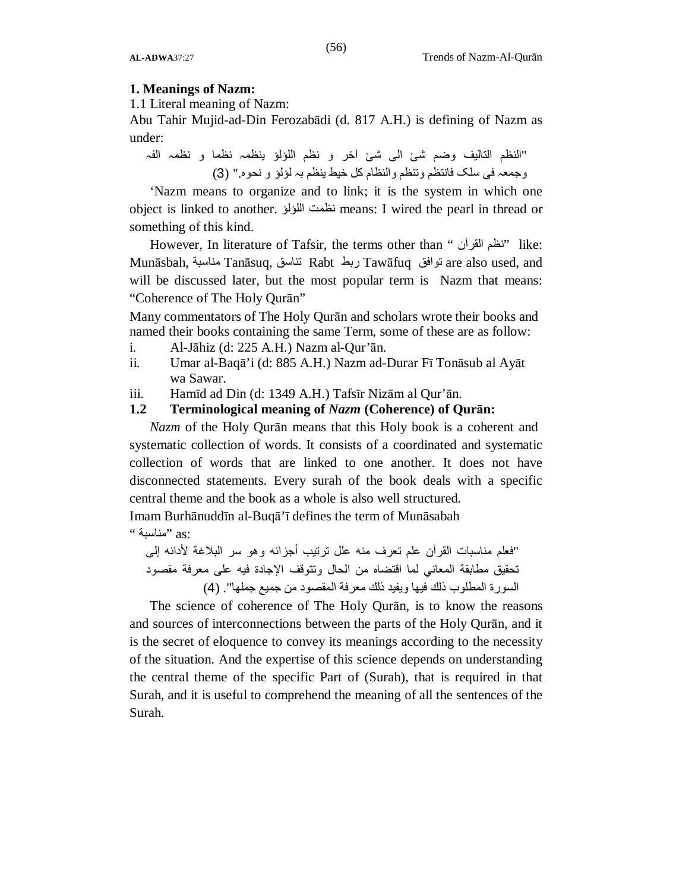#### **1. Meanings of Nazm:**

1.1 Literal meaning of Nazm:

Abu Tahir Mujid-ad-Din Ferozabādi (d. 817 A.H.) is defining of Nazm as under:

"النظم التالیف وضم شئ الی شئ آخر و نظم اللؤلؤ ینظمہ نظما و نظمہ الفہ وجمعہ فی سلک فانتظم وتنظم والنظام کل خیط ینظم بہ لؤلؤ و نحوہ." (3)

'Nazm means to organize and to link; it is the system in which one object is linked to another. اللؤلؤ نظمت means: I wired the pearl in thread or something of this kind.

However, In literature of Tafsir, the terms other than " القرآن نظم "like: Munāsbah, مناسبة Tanāsuq, تناسق Rabt ربط Tawāfuq توافق are also used, and will be discussed later, but the most popular term is Nazm that means: "Coherence of The Holy Qurān"

Many commentators of The Holy Qurān and scholars wrote their books and named their books containing the same Term, some of these are as follow:

- i. Al-Jāhiz (d: 225 A.H.) Nazm al-Qur'ān.
- ii. Umar al-Baqā'i (d: 885 A.H.) Nazm ad-Durar Fī Tonāsub al Ayāt wa Sawar.
- iii. Hamīd ad Din (d: 1349 A.H.) Tafsīr Nizām al Qur'ān.

### **1.2 Terminological meaning of** *Nazm* **(Coherence) of Qurān:**

*Nazm* of the Holy Qurān means that this Holy book is a coherent and systematic collection of words. It consists of a coordinated and systematic collection of words that are linked to one another. It does not have disconnected statements. Every surah of the book deals with a specific central theme and the book as a whole is also well structured.

Imam Burhānuddīn al-Buqā'ī defines the term of Munāsabah :as" مناسبة "

"فعلم مناسبات القرآن علم تعرف منھ علل ترتیب أجزائھ وھو سر البلاغة لأدائھ إلى تحقیق مطابقة المعاني لما اقتضاه من الحال وتتوقف الإجادة فیھ على معرفة مقصود السورة المطلوب ذلك فیھا ویفید ذلك معرفة المقصود من جمیع جملھا". (4)

The science of coherence of The Holy Qurān, is to know the reasons and sources of interconnections between the parts of the Holy Qurān, and it is the secret of eloquence to convey its meanings according to the necessity of the situation. And the expertise of this science depends on understanding the central theme of the specific Part of (Surah), that is required in that Surah, and it is useful to comprehend the meaning of all the sentences of the Surah.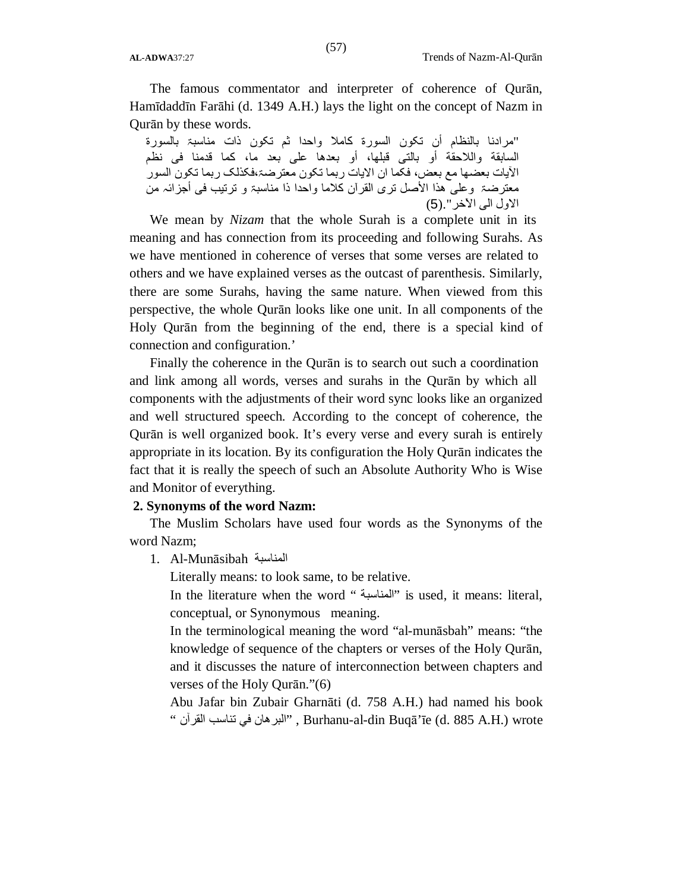The famous commentator and interpreter of coherence of Qurān, Hamīdaddīn Farāhi (d. 1349 A.H.) lays the light on the concept of Nazm in Qurān by these words.

"مرادنا بالنظام أن تکون السورة کاملا واحدا ثم تکون ذات مناسبۃ بالسورة السابقة واللاحقة أو بالتی قبلھا، أو بعدھا علی بعد ما، کما قدمنا فی نظم الآیات بعضھا مع بعض، فکما ان الایات ربما تکون معترضۃ،فکذلک ربما تکون السور معترضۃ وعلی ھذا الأصل تری القرآن کلاما واحدا ذا مناسبۃ و ترتیب فی أجزائہ من الاول الی الآخر".(5)

We mean by *Nizam* that the whole Surah is a complete unit in its meaning and has connection from its proceeding and following Surahs. As we have mentioned in coherence of verses that some verses are related to others and we have explained verses as the outcast of parenthesis. Similarly, there are some Surahs, having the same nature. When viewed from this perspective, the whole Qurān looks like one unit. In all components of the Holy Qurān from the beginning of the end, there is a special kind of connection and configuration.'

Finally the coherence in the Qurān is to search out such a coordination and link among all words, verses and surahs in the Qurān by which all components with the adjustments of their word sync looks like an organized and well structured speech. According to the concept of coherence, the Qurān is well organized book. It's every verse and every surah is entirely appropriate in its location. By its configuration the Holy Qurān indicates the fact that it is really the speech of such an Absolute Authority Who is Wise and Monitor of everything.

#### **2. Synonyms of the word Nazm:**

The Muslim Scholars have used four words as the Synonyms of the word Nazm;

1. Al-Munāsibah المناسبة

Literally means: to look same, to be relative.

In the literature when the word " المناسبة "is used, it means: literal, conceptual, or Synonymous meaning.

In the terminological meaning the word "al-munāsbah" means: "the knowledge of sequence of the chapters or verses of the Holy Qurān, and it discusses the nature of interconnection between chapters and verses of the Holy Qurān."(6)

Abu Jafar bin Zubair Gharnāti (d. 758 A.H.) had named his book " القرآن تناسب في البرھان ", Burhanu-al-din Buqā'īe (d. 885 A.H.) wrote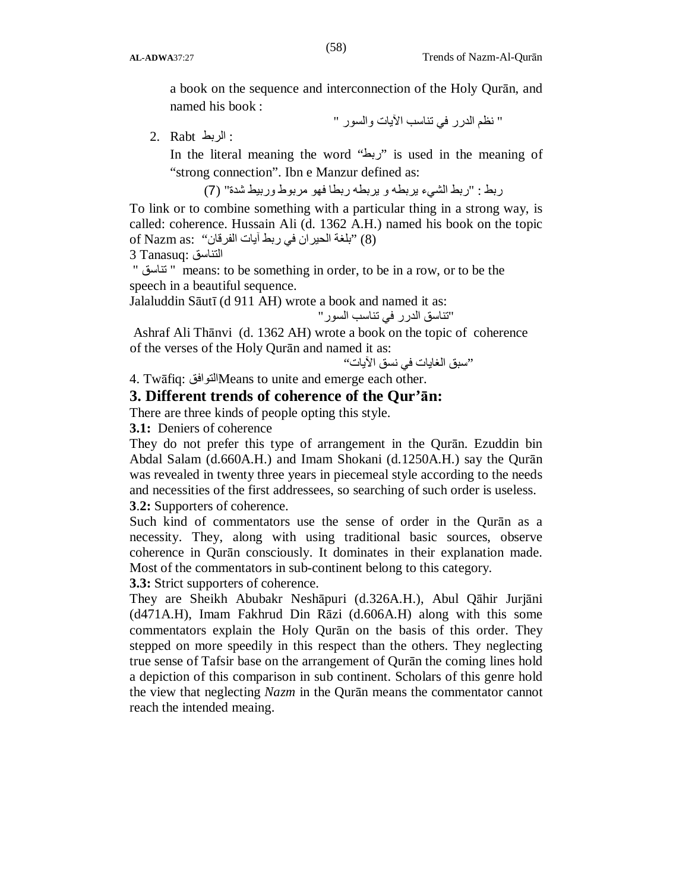a book on the sequence and interconnection of the Holy Qurān, and named his book :

" نظم الدرر في تناسب الآیات والسور "

: الربط Rabt 2.

In the literal meaning the word "ربط "is used in the meaning of "strong connection". Ibn e Manzur defined as:

ربط : "ربط الشيء یربطھ و یربطھ ربطا فھو مربوط وربیط شدة" (7)

To link or to combine something with a particular thing in a strong way, is called: coherence. Hussain Ali (d. 1362 A.H.) named his book on the topic (8) "بلغة الحیران في ربط آیات الفرقان" : of Nazm as:

التناسق :Tanasuq 3

" تناسق " means: to be something in order, to be in a row, or to be the speech in a beautiful sequence.

Jalaluddin Sāutī (d 911 AH) wrote a book and named it as:

"تناسق الدرر في تناسب السور"

Ashraf Ali Thānvi (d. 1362 AH) wrote a book on the topic of coherence of the verses of the Holy Qurān and named it as:

"سبق الغایات في نسق الآیات"

4. Twāfiq: التوافقMeans to unite and emerge each other.

# **3. Different trends of coherence of the Qur'ān:**

There are three kinds of people opting this style.

**3.1:** Deniers of coherence

They do not prefer this type of arrangement in the Qurān. Ezuddin bin Abdal Salam (d.660A.H.) and Imam Shokani (d.1250A.H.) say the Qurān was revealed in twenty three years in piecemeal style according to the needs and necessities of the first addressees, so searching of such order is useless.

**3**.**2:** Supporters of coherence.

Such kind of commentators use the sense of order in the Qurān as a necessity. They, along with using traditional basic sources, observe coherence in Qurān consciously. It dominates in their explanation made. Most of the commentators in sub-continent belong to this category.

**3.3:** Strict supporters of coherence.

They are Sheikh Abubakr Neshāpuri (d.326A.H.), Abul Qāhir Jurjāni (d471A.H), Imam Fakhrud Din Rāzi (d.606A.H) along with this some commentators explain the Holy Qurān on the basis of this order. They stepped on more speedily in this respect than the others. They neglecting true sense of Tafsir base on the arrangement of Qurān the coming lines hold a depiction of this comparison in sub continent. Scholars of this genre hold the view that neglecting *Nazm* in the Qurān means the commentator cannot reach the intended meaing.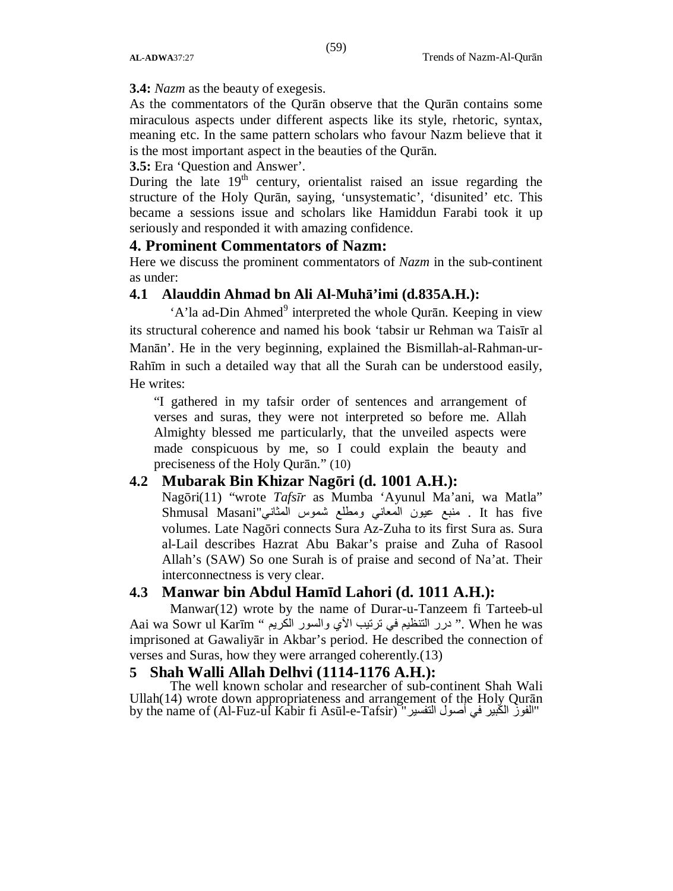**3.4:** *Nazm* as the beauty of exegesis.

As the commentators of the Qurān observe that the Qurān contains some miraculous aspects under different aspects like its style, rhetoric, syntax, meaning etc. In the same pattern scholars who favour Nazm believe that it is the most important aspect in the beauties of the Qurān.

# **3.5:** Era 'Question and Answer'.

During the late  $19<sup>th</sup>$  century, orientalist raised an issue regarding the structure of the Holy Qurān, saying, 'unsystematic', 'disunited' etc. This became a sessions issue and scholars like Hamiddun Farabi took it up seriously and responded it with amazing confidence.

### **4. Prominent Commentators of Nazm:**

Here we discuss the prominent commentators of *Nazm* in the sub-continent as under:

### **4.1 Alauddin Ahmad bn Ali Al-Muhā'imi (d.835A.H.):**

'A'la ad-Din Ahmed<sup>9</sup> interpreted the whole Qurān. Keeping in view its structural coherence and named his book 'tabsir ur Rehman wa Taisīr al Manān'. He in the very beginning, explained the Bismillah-al-Rahman-ur-Rahīm in such a detailed way that all the Surah can be understood easily, He writes:

"I gathered in my tafsir order of sentences and arrangement of verses and suras, they were not interpreted so before me. Allah Almighty blessed me particularly, that the unveiled aspects were made conspicuous by me, so I could explain the beauty and preciseness of the Holy Qurān." (10)

# **4.2 Mubarak Bin Khizar Nagōri (d. 1001 A.H.):**

Nagōri(11) "wrote *Tafsīr* as Mumba 'Ayunul Ma'ani, wa Matla" five has It . منبع عیون المعاني ومطلع شموس المثاني"Masani Shmusal volumes. Late Nagōri connects Sura Az-Zuha to its first Sura as. Sura al-Lail describes Hazrat Abu Bakar's praise and Zuha of Rasool Allah's (SAW) So one Surah is of praise and second of Na'at. Their interconnectness is very clear.

# **4.3 Manwar bin Abdul Hamīd Lahori (d. 1011 A.H.):**

Manwar(12) wrote by the name of Durar-u-Tanzeem fi Tarteeb-ul Aai wa Sowr ul Karīm " المريم والسور الكريم " . When he was imprisoned at Gawaliyār in Akbar's period. He described the connection of verses and Suras, how they were arranged coherently.(13)

### **5 Shah Walli Allah Delhvi (1114-1176 A.H.):**

The well known scholar and researcher of sub-continent Shah Wali Ullah(14) wrote down appropriateness and arrangement of the Holy Qurān by the name of (Al-Fuz-ul Kabir fi Asūl-e-Tafsir) "التفسیر أصول في الكبیر الفوز"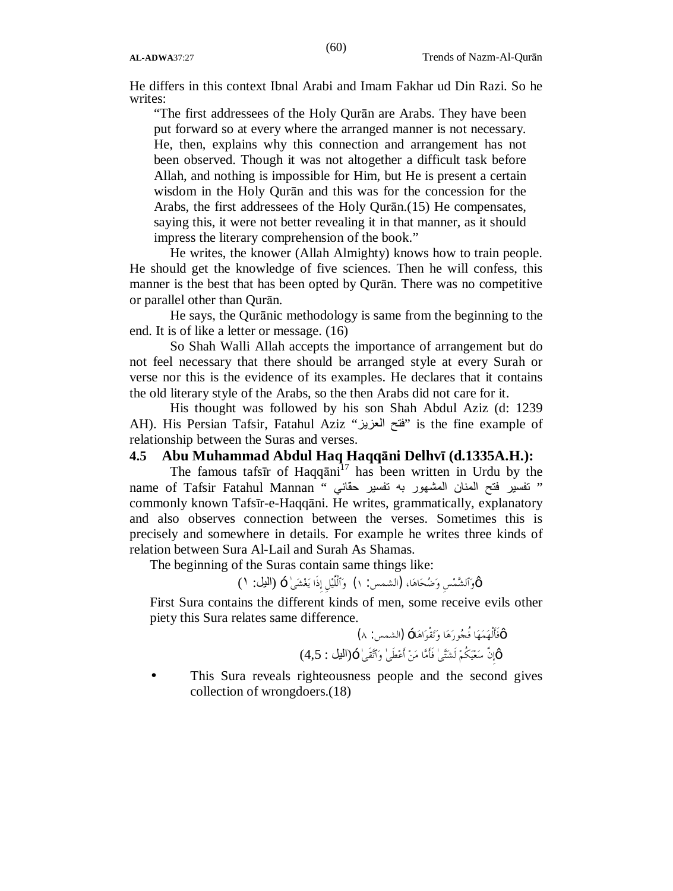He differs in this context Ibnal Arabi and Imam Fakhar ud Din Razi. So he writes:

"The first addressees of the Holy Qurān are Arabs. They have been put forward so at every where the arranged manner is not necessary. He, then, explains why this connection and arrangement has not been observed. Though it was not altogether a difficult task before Allah, and nothing is impossible for Him, but He is present a certain wisdom in the Holy Qurān and this was for the concession for the Arabs, the first addressees of the Holy Qurān.(15) He compensates, saying this, it were not better revealing it in that manner, as it should impress the literary comprehension of the book."

He writes, the knower (Allah Almighty) knows how to train people. He should get the knowledge of five sciences. Then he will confess, this manner is the best that has been opted by Qurān. There was no competitive or parallel other than Qurān.

He says, the Qurānic methodology is same from the beginning to the end. It is of like a letter or message. (16)

So Shah Walli Allah accepts the importance of arrangement but do not feel necessary that there should be arranged style at every Surah or verse nor this is the evidence of its examples. He declares that it contains the old literary style of the Arabs, so the then Arabs did not care for it.

His thought was followed by his son Shah Abdul Aziz (d: 1239 AH). His Persian Tafsir, Fatahul Aziz "العزیز فتح "is the fine example of relationship between the Suras and verses.

### **4.5 Abu Muhammad Abdul Haq Haqqāni Delhvī (d.1335A.H.):**

The famous tafsir of Haqq $\bar{a}$ ni<sup>17</sup> has been written in Urdu by the name of Tafsir Fatahul Mannan " تفسیر مقتم المنان المشهور به تفسیر حقّانی commonly known Tafsīr-e-Haqqāni. He writes, grammatically, explanatory and also observes connection between the verses. Sometimes this is precisely and somewhere in details. For example he writes three kinds of relation between Sura Al-Lail and Surah As Shamas.

The beginning of the Suras contain same things like:

TMوٱلشمسِ وضحاها**،** (الشمس: ۱) وٱلْلَّيلِ إِذَا يغشىٰ — (الیل: ١)

First Sura contains the different kinds of men, some receive evils other piety this Sura relates same difference.

$$
^{M}
$$
اَأَلُهَمَهَا فُجُورَهَا وَتَقْوَاهَا− (الشمس: ∆)  
×اَّاِنَّ سَعَيَكُمٌ لَشَتَّىٰ فَأَمَّا مَنْ أَعَطَى' وَاَتَّقَى'−(اليل : 4,5)

This Sura reveals righteousness people and the second gives collection of wrongdoers.(18)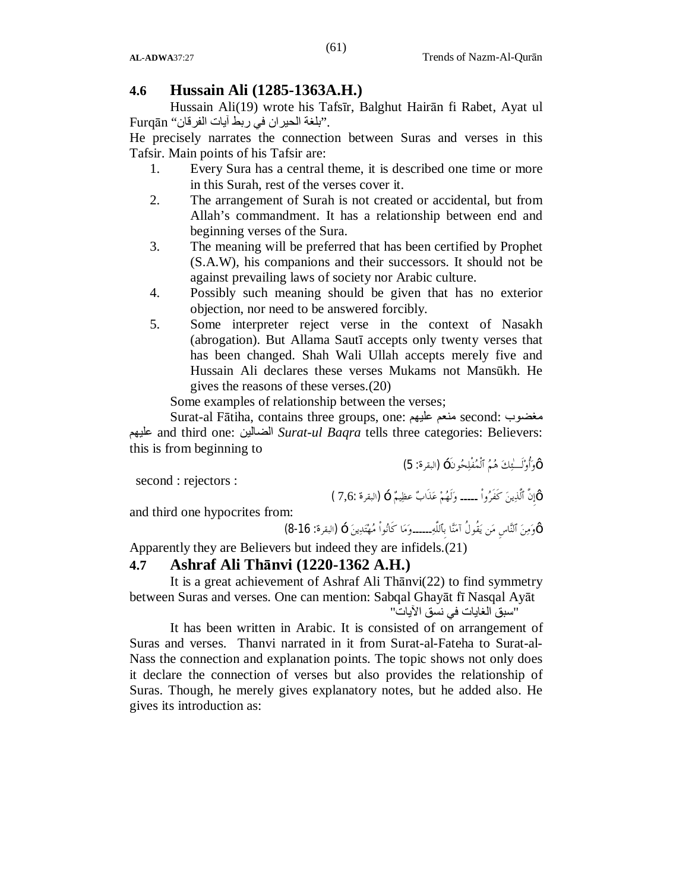# **4.6 Hussain Ali (1285-1363A.H.)**

Hussain Ali(19) wrote his Tafsīr, Balghut Hairān fi Rabet, Ayat ul ."بلغة الحیران في ربط آیات الفرقان" Furqān

He precisely narrates the connection between Suras and verses in this Tafsir. Main points of his Tafsir are:

- 1. Every Sura has a central theme, it is described one time or more in this Surah, rest of the verses cover it.
- 2. The arrangement of Surah is not created or accidental, but from Allah's commandment. It has a relationship between end and beginning verses of the Sura.
- 3. The meaning will be preferred that has been certified by Prophet (S.A.W), his companions and their successors. It should not be against prevailing laws of society nor Arabic culture.
- 4. Possibly such meaning should be given that has no exterior objection, nor need to be answered forcibly.
- 5. Some interpreter reject verse in the context of Nasakh (abrogation). But Allama Sautī accepts only twenty verses that has been changed. Shah Wali Ullah accepts merely five and Hussain Ali declares these verses Mukams not Mansūkh. He gives the reasons of these verses.(20)

Some examples of relationship between the verses;

Surat-al Fātiha, contains three groups, one: علیھم منعم second: مغضوب علیھم and third one: الضالین *Surat-ul Baqra* tells three categories: Believers: this is from beginning to

second : rejectors :

TMوأُولَـٰئك هم ٱلْمفْلحونَ— (البقرة: 5)

and third one hypocrites from:

 $\left[ 8\text{-}16 \right]$ وَمِنَ ٱلنَّاسِ مَن يَقُولُ آمَنًا بِٱللَّهِ۔۔۔۔۔ومَا كَانُواْ مُهْتَدِينَ — (البقرة: 16-8)

 $(7,6)$ إِنَّ ٱلَّذِينَ كَفَرُواْ ــــــ وَلَهُمْ عَذَابٌ عظِيمٌ  $(\textcolor{red}{\mu}$ ابقرة  $\mathbb{W}$ 

Apparently they are Believers but indeed they are infidels.(21)

# **4.7 Ashraf Ali Thānvi (1220-1362 A.H.)**

It is a great achievement of Ashraf Ali Thānvi(22) to find symmetry between Suras and verses. One can mention: Sabqal Ghayāt fī Nasqal Ayāt

"سبق الغایات في نسق الآیات"

It has been written in Arabic. It is consisted of on arrangement of Suras and verses. Thanvi narrated in it from Surat-al-Fateha to Surat-al-Nass the connection and explanation points. The topic shows not only does it declare the connection of verses but also provides the relationship of Suras. Though, he merely gives explanatory notes, but he added also. He gives its introduction as: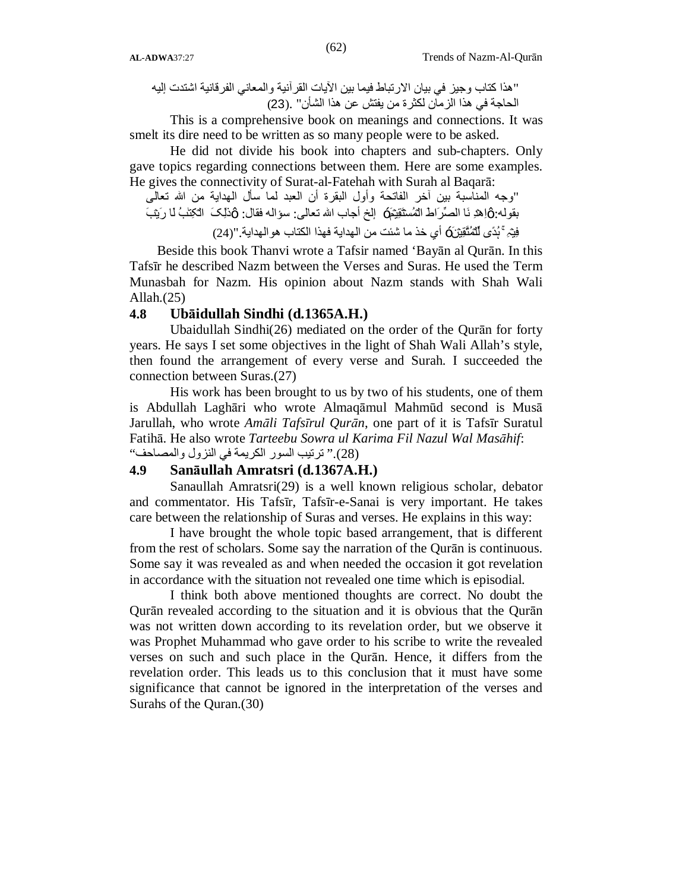"ھذا كتاب وجیز في بیان الارتباط فیما بین الآیات القرآنیة والمعاني الفرقانیة اشتدت إلیھ الحاجة في ھذا الزمان لكثرة من یفتش عن ھذا الشأن" .(23)

 This is a comprehensive book on meanings and connections. It was smelt its dire need to be written as so many people were to be asked.

He did not divide his book into chapters and sub-chapters. Only gave topics regarding connections between them. Here are some examples. He gives the connectivity of Surat-al-Fatehah with Surah al Baqarā:

"وجھ المناسبة بین آخر الفاتحة وأول البقرة أن العبد لما سأل الھدایة من االله تعالى بقولھ:TMاِھۡدِ نَا الصِّرَاطَ الۡمُسۡتَقِیۡمَ— إلخ أجاب االله تعالى: سؤالھ فقال: TMذٰلِکَ الۡکِتٰبُ لَا رَیۡبَ فِیۡہِۛۚ ہُدًی لِّلۡمُتَّقِیۡنَ— أي خذ ما شئت من الھدایة فھذا الكتاب ھوالھدایة."(24)

Beside this book Thanvi wrote a Tafsir named 'Bayān al Qurān. In this Tafsīr he described Nazm between the Verses and Suras. He used the Term Munasbah for Nazm. His opinion about Nazm stands with Shah Wali Allah.(25)

### **4.8 Ubāidullah Sindhi (d.1365A.H.)**

Ubaidullah Sindhi(26) mediated on the order of the Qurān for forty years. He says I set some objectives in the light of Shah Wali Allah's style, then found the arrangement of every verse and Surah. I succeeded the connection between Suras.(27)

 His work has been brought to us by two of his students, one of them is Abdullah Laghāri who wrote Almaqāmul Mahmūd second is Musā Jarullah, who wrote *Amāli Tafsīrul Qurān*, one part of it is Tafsīr Suratul Fatihā. He also wrote *Tarteebu Sowra ul Karima Fil Nazul Wal Masāhif*: (28)." ترتیب السور الكریمة في النزول والمصاحف"

### **4.9 Sanāullah Amratsri (d.1367A.H.)**

Sanaullah Amratsri(29) is a well known religious scholar, debator and commentator. His Tafsīr, Tafsīr-e-Sanai is very important. He takes care between the relationship of Suras and verses. He explains in this way:

I have brought the whole topic based arrangement, that is different from the rest of scholars. Some say the narration of the Qurān is continuous. Some say it was revealed as and when needed the occasion it got revelation in accordance with the situation not revealed one time which is episodial.

I think both above mentioned thoughts are correct. No doubt the Qurān revealed according to the situation and it is obvious that the Qurān was not written down according to its revelation order, but we observe it was Prophet Muhammad who gave order to his scribe to write the revealed verses on such and such place in the Qurān. Hence, it differs from the revelation order. This leads us to this conclusion that it must have some significance that cannot be ignored in the interpretation of the verses and Surahs of the Quran.(30)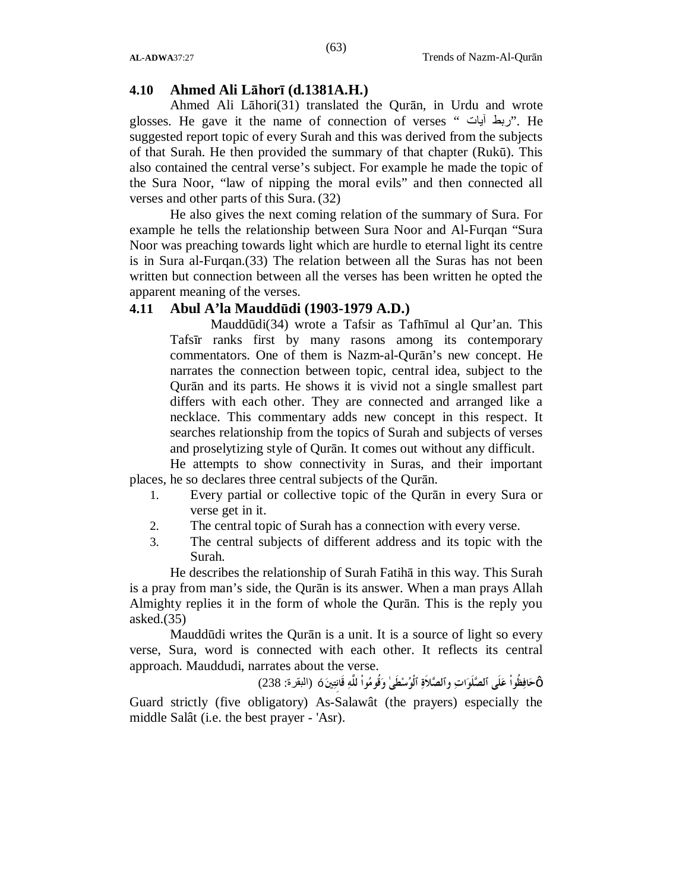### **4.10 Ahmed Ali Lāhorī (d.1381A.H.)**

Ahmed Ali Lāhori(31) translated the Qurān, in Urdu and wrote glosses. He gave it the name of connection of verses " آیات ربط". He suggested report topic of every Surah and this was derived from the subjects of that Surah. He then provided the summary of that chapter (Rukū). This also contained the central verse's subject. For example he made the topic of the Sura Noor, "law of nipping the moral evils" and then connected all verses and other parts of this Sura. (32)

He also gives the next coming relation of the summary of Sura. For example he tells the relationship between Sura Noor and Al-Furqan "Sura Noor was preaching towards light which are hurdle to eternal light its centre is in Sura al-Furqan.(33) The relation between all the Suras has not been written but connection between all the verses has been written he opted the apparent meaning of the verses.

### **4.11 Abul A'la Mauddūdi (1903-1979 A.D.)**

Mauddūdi(34) wrote a Tafsir as Tafhīmul al Qur'an. This Tafsīr ranks first by many rasons among its contemporary commentators. One of them is Nazm-al-Qurān's new concept. He narrates the connection between topic, central idea, subject to the Qurān and its parts. He shows it is vivid not a single smallest part differs with each other. They are connected and arranged like a necklace. This commentary adds new concept in this respect. It searches relationship from the topics of Surah and subjects of verses and proselytizing style of Qurān. It comes out without any difficult.

He attempts to show connectivity in Suras, and their important places, he so declares three central subjects of the Qurān.

- 1. Every partial or collective topic of the Qurān in every Sura or verse get in it.
- 2. The central topic of Surah has a connection with every verse.
- 3. The central subjects of different address and its topic with the Surah.

He describes the relationship of Surah Fatihā in this way. This Surah is a pray from man's side, the Qurān is its answer. When a man prays Allah Almighty replies it in the form of whole the Qurān. This is the reply you asked. $(35)$ 

Mauddūdi writes the Qurān is a unit. It is a source of light so every verse, Sura, word is connected with each other. It reflects its central approach. Mauddudi, narrates about the verse.

TM**حافظُواْ علَى ٱلصلَوات وٱلصلاَة ٱلْوسطَىٰ وقُومواْ للَّه قَانِتين**)— البقرة: 238) Guard strictly (five obligatory) As-Salawât (the prayers) especially the middle Salât (i.e. the best prayer - 'Asr).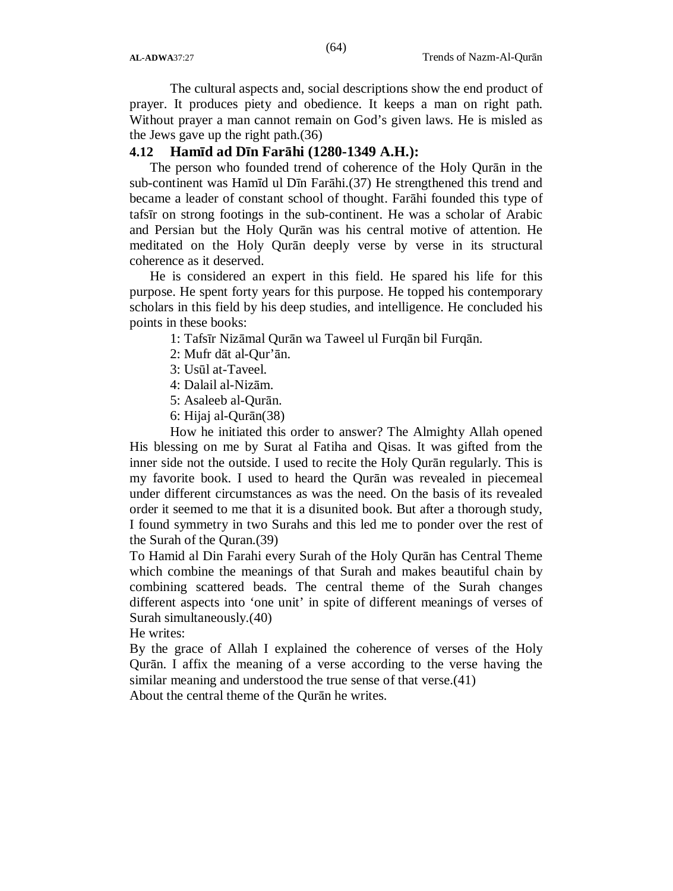The cultural aspects and, social descriptions show the end product of prayer. It produces piety and obedience. It keeps a man on right path. Without prayer a man cannot remain on God's given laws. He is misled as the Jews gave up the right path.(36)

### **4.12 Hamīd ad Dīn Farāhi (1280-1349 A.H.):**

The person who founded trend of coherence of the Holy Qurān in the sub-continent was Hamīd ul Dīn Farāhi.(37) He strengthened this trend and became a leader of constant school of thought. Farāhi founded this type of tafsīr on strong footings in the sub-continent. He was a scholar of Arabic and Persian but the Holy Qurān was his central motive of attention. He meditated on the Holy Qurān deeply verse by verse in its structural coherence as it deserved.

He is considered an expert in this field. He spared his life for this purpose. He spent forty years for this purpose. He topped his contemporary scholars in this field by his deep studies, and intelligence. He concluded his points in these books:

1: Tafsīr Nizāmal Qurān wa Taweel ul Furqān bil Furqān.

2: Mufr dāt al-Qur'ān.

- 3: Usūl at-Taveel.
- 4: Dalail al-Nizām.
- 5: Asaleeb al-Qurān.
- 6: Hijaj al-Qurān(38)

How he initiated this order to answer? The Almighty Allah opened His blessing on me by Surat al Fatiha and Qisas. It was gifted from the inner side not the outside. I used to recite the Holy Qurān regularly. This is my favorite book. I used to heard the Qurān was revealed in piecemeal under different circumstances as was the need. On the basis of its revealed order it seemed to me that it is a disunited book. But after a thorough study, I found symmetry in two Surahs and this led me to ponder over the rest of the Surah of the Quran.(39)

To Hamid al Din Farahi every Surah of the Holy Qurān has Central Theme which combine the meanings of that Surah and makes beautiful chain by combining scattered beads. The central theme of the Surah changes different aspects into 'one unit' in spite of different meanings of verses of Surah simultaneously.(40)

He writes:

By the grace of Allah I explained the coherence of verses of the Holy Qurān. I affix the meaning of a verse according to the verse having the similar meaning and understood the true sense of that verse.(41)

About the central theme of the Qurān he writes.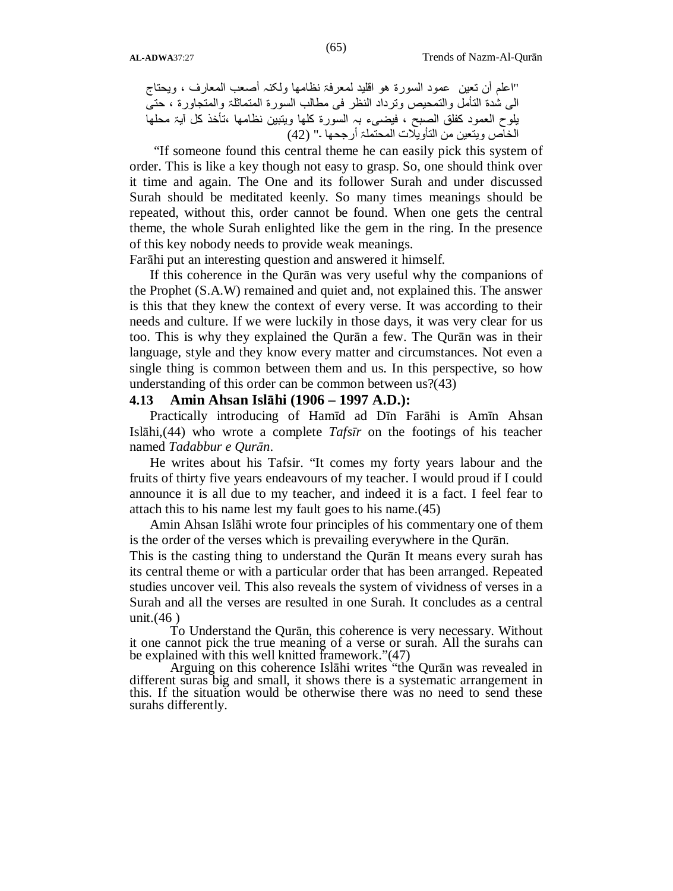"اعلم أن تعین عمود السورة ھو اقلید لمعرفۃ نظامھا ولکنہ أصعب المعارف ، ویحتاج الی شدة التأمل والتمحیص وترداد النظر فی مطالب السورة المتماثلۃ والمتجاورة ، حتی یلوح العمود کفلق الصبح ، فیضیء بہ السورة کلھا ویتبین نظامھا ،تأخذ کل آیۃ محلھا الخاص ویتعین من التأویلات المحتملۃ أرجحھا ۔" (42)

"If someone found this central theme he can easily pick this system of order. This is like a key though not easy to grasp. So, one should think over it time and again. The One and its follower Surah and under discussed Surah should be meditated keenly. So many times meanings should be repeated, without this, order cannot be found. When one gets the central theme, the whole Surah enlighted like the gem in the ring. In the presence of this key nobody needs to provide weak meanings.

Farāhi put an interesting question and answered it himself.

If this coherence in the Qurān was very useful why the companions of the Prophet (S.A.W) remained and quiet and, not explained this. The answer is this that they knew the context of every verse. It was according to their needs and culture. If we were luckily in those days, it was very clear for us too. This is why they explained the Qurān a few. The Qurān was in their language, style and they know every matter and circumstances. Not even a single thing is common between them and us. In this perspective, so how understanding of this order can be common between us?(43)

### **4.13 Amin Ahsan Islāhi (1906 – 1997 A.D.):**

Practically introducing of Hamīd ad Dīn Farāhi is Amīn Ahsan Islāhi,(44) who wrote a complete *Tafsīr* on the footings of his teacher named *Tadabbur e Qurān*.

He writes about his Tafsir. "It comes my forty years labour and the fruits of thirty five years endeavours of my teacher. I would proud if I could announce it is all due to my teacher, and indeed it is a fact. I feel fear to attach this to his name lest my fault goes to his name.(45)

Amin Ahsan Islāhi wrote four principles of his commentary one of them is the order of the verses which is prevailing everywhere in the Qurān.

This is the casting thing to understand the Qurān It means every surah has its central theme or with a particular order that has been arranged. Repeated studies uncover veil. This also reveals the system of vividness of verses in a Surah and all the verses are resulted in one Surah. It concludes as a central unit.(46 )

To Understand the Qurān, this coherence is very necessary. Without it one cannot pick the true meaning of a verse or surah. All the surahs can be explained with this well knitted framework."(47)

Arguing on this coherence Islāhi writes "the Qurān was revealed in different suras big and small, it shows there is a systematic arrangement in this. If the situation would be otherwise there was no need to send these surahs differently.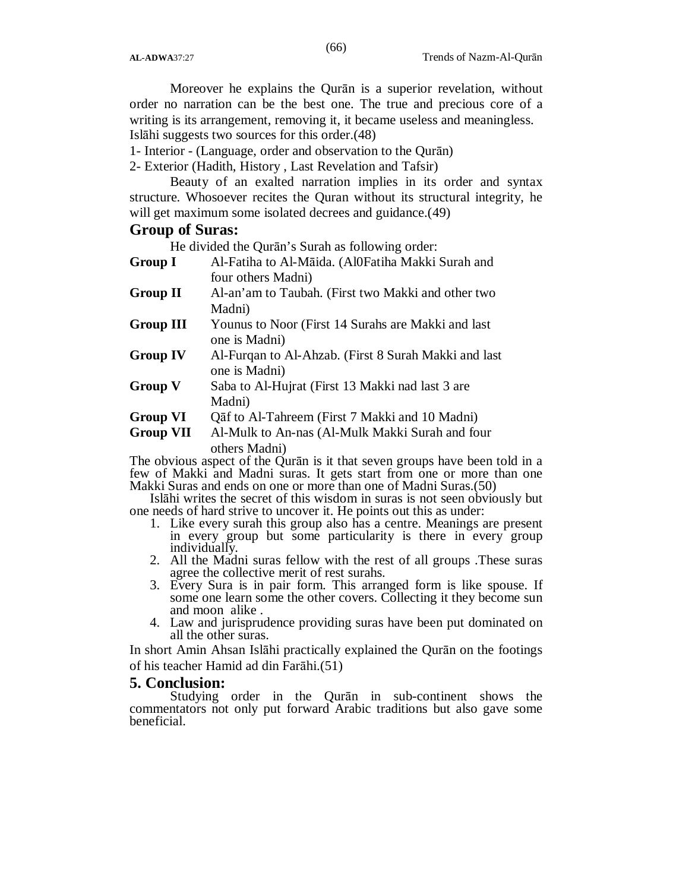Moreover he explains the Qurān is a superior revelation, without order no narration can be the best one. The true and precious core of a writing is its arrangement, removing it, it became useless and meaningless. Islāhi suggests two sources for this order.(48)

(66)

1- Interior - (Language, order and observation to the Qurān)

2- Exterior (Hadith, History , Last Revelation and Tafsir)

Beauty of an exalted narration implies in its order and syntax structure. Whosoever recites the Quran without its structural integrity, he will get maximum some isolated decrees and guidance.  $(49)$ 

### **Group of Suras:**

He divided the Qurān's Surah as following order:

- **Group I** Al-Fatiha to Al-Māida. (Al0Fatiha Makki Surah and four others Madni)
- **Group II** Al-an'am to Taubah. (First two Makki and other two Madni)
- **Group III** Younus to Noor (First 14 Surahs are Makki and last one is Madni)
- **Group IV** Al-Furqan to Al-Ahzab. (First 8 Surah Makki and last one is Madni)
- **Group V** Saba to Al-Hujrat (First 13 Makki nad last 3 are Madni)
- **Group VI** Qāf to Al-Tahreem (First 7 Makki and 10 Madni)

**Group VII** Al-Mulk to An-nas (Al-Mulk Makki Surah and four others Madni)

The obvious aspect of the Qurān is it that seven groups have been told in a few of Makki and Madni suras. It gets start from one or more than one Makki Suras and ends on one or more than one of Madni Suras.(50)

Islāhi writes the secret of this wisdom in suras is not seen obviously but one needs of hard strive to uncover it. He points out this as under:

- 1. Like every surah this group also has a centre. Meanings are present in every group but some particularity is there in every group individually.
- 2. All the Madni suras fellow with the rest of all groups .These suras agree the collective merit of rest surahs.
- 3. Every Sura is in pair form. This arranged form is like spouse. If some one learn some the other covers. Collecting it they become sun and moon alike .
- 4. Law and jurisprudence providing suras have been put dominated on all the other suras.

In short Amin Ahsan Islāhi practically explained the Qurān on the footings of his teacher Hamid ad din Farāhi.(51)

#### **5. Conclusion:**

Studying order in the Qurān in sub-continent shows the commentators not only put forward Arabic traditions but also gave some beneficial.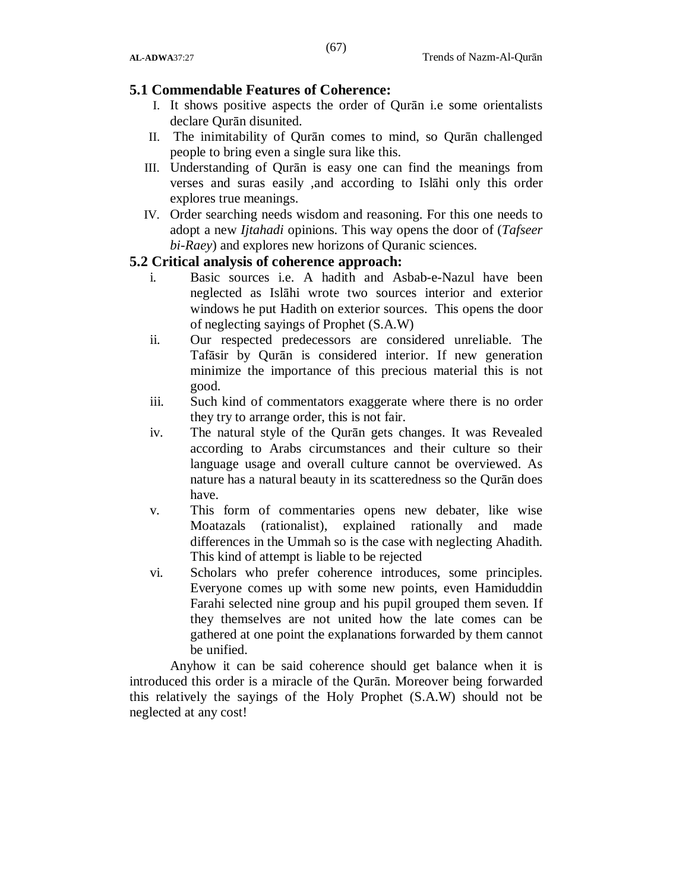### **5.1 Commendable Features of Coherence:**

- I. It shows positive aspects the order of Qurān i.e some orientalists declare Qurān disunited.
- II. The inimitability of Qurān comes to mind, so Qurān challenged people to bring even a single sura like this.
- III. Understanding of Qurān is easy one can find the meanings from verses and suras easily ,and according to Islāhi only this order explores true meanings.
- IV. Order searching needs wisdom and reasoning. For this one needs to adopt a new *Ijtahadi* opinions. This way opens the door of (*Tafseer bi-Raey*) and explores new horizons of Quranic sciences.

### **5.2 Critical analysis of coherence approach:**

- i. Basic sources i.e. A hadith and Asbab-e-Nazul have been neglected as Islāhi wrote two sources interior and exterior windows he put Hadith on exterior sources. This opens the door of neglecting sayings of Prophet (S.A.W)
- ii. Our respected predecessors are considered unreliable. The Tafāsir by Qurān is considered interior. If new generation minimize the importance of this precious material this is not good.
- iii. Such kind of commentators exaggerate where there is no order they try to arrange order, this is not fair.
- iv. The natural style of the Qurān gets changes. It was Revealed according to Arabs circumstances and their culture so their language usage and overall culture cannot be overviewed. As nature has a natural beauty in its scatteredness so the Qurān does have.
- v. This form of commentaries opens new debater, like wise Moatazals (rationalist), explained rationally and made differences in the Ummah so is the case with neglecting Ahadith. This kind of attempt is liable to be rejected
- vi. Scholars who prefer coherence introduces, some principles. Everyone comes up with some new points, even Hamiduddin Farahi selected nine group and his pupil grouped them seven. If they themselves are not united how the late comes can be gathered at one point the explanations forwarded by them cannot be unified.

Anyhow it can be said coherence should get balance when it is introduced this order is a miracle of the Qurān. Moreover being forwarded this relatively the sayings of the Holy Prophet (S.A.W) should not be neglected at any cost!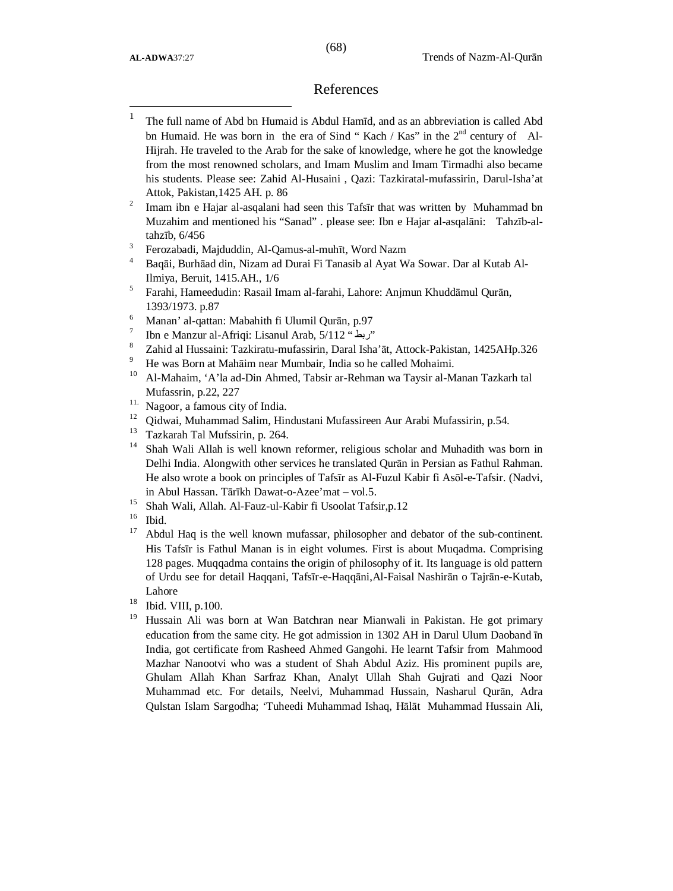$\overline{\phantom{a}}$ 

#### References

| The full name of Abd bn Humaid is Abdul Hamīd, and as an abbreviation is called Abd    |
|----------------------------------------------------------------------------------------|
| bn Humaid. He was born in the era of Sind "Kach / Kas" in the $2nd$ century of Al-     |
| Hijrah. He traveled to the Arab for the sake of knowledge, where he got the knowledge  |
| from the most renowned scholars, and Imam Muslim and Imam Tirmadhi also became         |
| his students. Please see: Zahid Al-Husaini, Qazi: Tazkiratal-mufassirin, Darul-Isha'at |
| Attok, Pakistan, 1425 AH. p. 86                                                        |

- 2 Imam ibn e Hajar al-asqalani had seen this Tafsīr that was written by Muhammad bn Muzahim and mentioned his "Sanad" . please see: Ibn e Hajar al-asqalāni: Tahzīb-altahzīb, 6/456
- 3 Ferozabadi, Majduddin, Al-Qamus-al-muhīt, Word Nazm
- <sup>4</sup> Baqāi, Burhāad din, Nizam ad Durai Fi Tanasib al Ayat Wa Sowar. Dar al Kutab Al-Ilmiya, Beruit, 1415.AH., 1/6
- 5 Farahi, Hameedudin: Rasail Imam al-farahi, Lahore: Anjmun Khuddāmul Qurān, 1393/1973. p.87
- <sup>6</sup> Manan' al-qattan: Mabahith fi Ulumil Qurān, p.97
- 7 Ibn e Manzur al-Afriqi: Lisanul Arab, 5/112 " ربط "
- <sup>8</sup> Zahid al Hussaini: Tazkiratu-mufassirin, Daral Isha'āt, Attock-Pakistan, 1425AHp.326
- <sup>9</sup> He was Born at Mahāim near Mumbair, India so he called Mohaimi.
- 10 Al-Mahaim, 'A'la ad-Din Ahmed, Tabsir ar-Rehman wa Taysir al-Manan Tazkarh tal Mufassrin, p.22, 227
- <sup>11.</sup> Nagoor, a famous city of India.
- <sup>12</sup> Oidwai, Muhammad Salim, Hindustani Mufassireen Aur Arabi Mufassirin, p.54.
- <sup>13</sup> Tazkarah Tal Mufssirin, p. 264.
- <sup>14</sup> Shah Wali Allah is well known reformer, religious scholar and Muhadith was born in Delhi India. Alongwith other services he translated Qurān in Persian as Fathul Rahman. He also wrote a book on principles of Tafsīr as Al-Fuzul Kabir fi Asōl-e-Tafsir. (Nadvi, in Abul Hassan. Tārīkh Dawat-o-Azee'mat – vol.5.
- <sup>15</sup> Shah Wali, Allah. Al-Fauz-ul-Kabir fi Usoolat Tafsir,p.12
- $\frac{16}{17}$  Ibid.
- <sup>17</sup> Abdul Haq is the well known mufassar, philosopher and debator of the sub-continent. His Tafsīr is Fathul Manan is in eight volumes. First is about Muqadma. Comprising 128 pages. Muqqadma contains the origin of philosophy of it. Its language is old pattern of Urdu see for detail Haqqani, Tafsīr-e-Haqqāni,Al-Faisal Nashirān o Tajrān-e-Kutab, Lahore
- 18 Ibid. VIII, p.100.
- <sup>19</sup> Hussain Ali was born at Wan Batchran near Mianwali in Pakistan. He got primary education from the same city. He got admission in 1302 AH in Darul Ulum Daoband īn India, got certificate from Rasheed Ahmed Gangohi. He learnt Tafsir from Mahmood Mazhar Nanootvi who was a student of Shah Abdul Aziz. His prominent pupils are, Ghulam Allah Khan Sarfraz Khan, Analyt Ullah Shah Gujrati and Qazi Noor Muhammad etc. For details, Neelvi, Muhammad Hussain, Nasharul Qurān, Adra Qulstan Islam Sargodha; 'Tuheedi Muhammad Ishaq, Hālāt Muhammad Hussain Ali,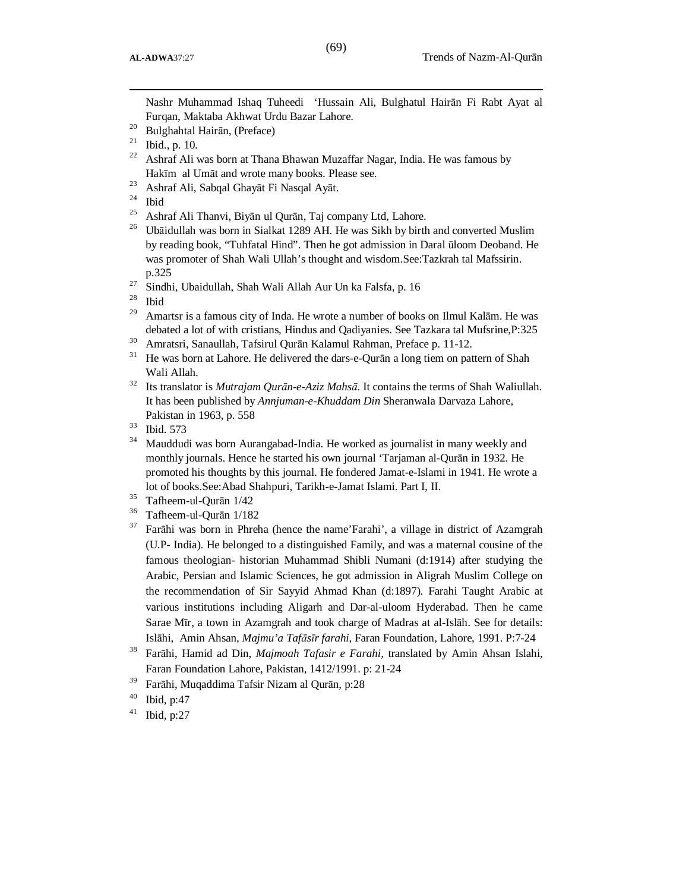Nashr Muhammad Ishaq Tuheedi 'Hussain Ali, Bulghatul Hairān Fi Rabt Ayat al Furqan, Maktaba Akhwat Urdu Bazar Lahore.

<sup>23</sup> Ashraf Ali, Sabqal Ghayāt Fi Nasqal Ayāt.<br><sup>24</sup> Ibid

Ibid

l

- <sup>25</sup> Ashraf Ali Thanvi, Biyān ul Qurān, Taj company Ltd, Lahore.
- <sup>26</sup> Ubāidullah was born in Sialkat 1289 AH. He was Sikh by birth and converted Muslim by reading book, "Tuhfatal Hind". Then he got admission in Daral ūloom Deoband. He was promoter of Shah Wali Ullah's thought and wisdom.See:Tazkrah tal Mafssirin. p.325
- <sup>27</sup> Sindhi, Ubaidullah, Shah Wali Allah Aur Un ka Falsfa, p. 16<sup>28</sup> H.

**Ibid** 

- <sup>29</sup> Amartsr is a famous city of Inda. He wrote a number of books on Ilmul Kalām. He was debated a lot of with cristians, Hindus and Qadiyanies. See Tazkara tal Mufsrine,P:325
- <sup>30</sup> Amratsri, Sanaullah, Tafsirul Qurān Kalamul Rahman, Preface p. 11-12.
- <sup>31</sup> He was born at Lahore. He delivered the dars-e-Quran a long tiem on pattern of Shah Wali Allah.
- <sup>32</sup> Its translator is *Mutrajam Qurān-e-Aziz Mahsā.* It contains the terms of Shah Waliullah. It has been published by *Annjuman-e-Khuddam Din* Sheranwala Darvaza Lahore, Pakistan in 1963, p. 558
- $\frac{33}{34}$  Ibid. 573
- Mauddudi was born Aurangabad-India. He worked as journalist in many weekly and monthly journals. Hence he started his own journal 'Tarjaman al-Qurān in 1932. He promoted his thoughts by this journal. He fondered Jamat-e-Islami in 1941. He wrote a lot of books.See:Abad Shahpuri, Tarikh-e-Jamat Islami. Part I, II.
- <sup>35</sup> Tafheem-ul-Qurān 1/42
- <sup>36</sup> Tafheem-ul-Qurān 1/182
- <sup>37</sup> Farāhi was born in Phreha (hence the name'Farahi', a village in district of Azamgrah (U.P- India). He belonged to a distinguished Family, and was a maternal cousine of the famous theologian- historian Muhammad Shibli Numani (d:1914) after studying the Arabic, Persian and Islamic Sciences, he got admission in Aligrah Muslim College on the recommendation of Sir Sayyid Ahmad Khan (d:1897). Farahi Taught Arabic at various institutions including Aligarh and Dar-al-uloom Hyderabad. Then he came Sarae Mīr, a town in Azamgrah and took charge of Madras at al-Islāh. See for details: Islāhi, Amin Ahsan, *Majmu'a Tafāsīr farahi,* Faran Foundation, Lahore, 1991. P:7-24
- <sup>38</sup> Farāhi, Hamid ad Din, *Majmoah Tafasir e Farahi,* translated by Amin Ahsan Islahi, Faran Foundation Lahore, Pakistan, 1412/1991. p: 21-24
- <sup>39</sup> Farāhi, Muqaddima Tafsir Nizam al Qurān, p:28
- $40$  Ibid, p:47
- $41$  Ibid, p:27

<sup>20</sup> Bulghahtal Hairān, (Preface)

 $21$  Ibid., p. 10.

<sup>&</sup>lt;sup>22</sup> Ashraf Ali was born at Thana Bhawan Muzaffar Nagar, India. He was famous by Hakīm al Umāt and wrote many books. Please see.